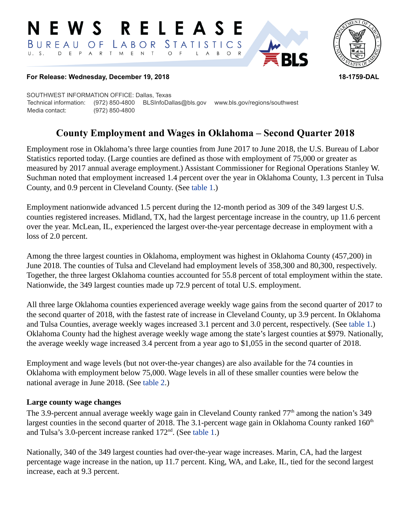#### RELEAS E W S *STATISTICS*  $B$  U R E A U  $O F$ LABOR D E P A R T M E N T  $\circ$  $B$  $\circ$  $\mathsf{L}$  $\overline{A}$



#### **For Release: Wednesday, December 19, 2018 18-1759-DAL**

SOUTHWEST INFORMATION OFFICE: Dallas, Texas Technical information: (972) 850-4800 BLSInfoDallas@bls.gov www.bls.gov/regions/southwest Media contact: (972) 850-4800

# **County Employment and Wages in Oklahoma – Second Quarter 2018**

Employment rose in Oklahoma's three large counties from June 2017 to June 2018, the U.S. Bureau of Labor Statistics reported today. (Large counties are defined as those with employment of 75,000 or greater as measured by 2017 annual average employment.) Assistant Commissioner for Regional Operations Stanley W. Suchman noted that employment increased 1.4 percent over the year in Oklahoma County, 1.3 percent in Tulsa County, and 0.9 percent in Cleveland County. (See [table 1.](#page-3-0))

Employment nationwide advanced 1.5 percent during the 12-month period as 309 of the 349 largest U.S. counties registered increases. Midland, TX, had the largest percentage increase in the country, up 11.6 percent over the year. McLean, IL, experienced the largest over-the-year percentage decrease in employment with a loss of 2.0 percent.

Among the three largest counties in Oklahoma, employment was highest in Oklahoma County (457,200) in June 2018. The counties of Tulsa and Cleveland had employment levels of 358,300 and 80,300, respectively. Together, the three largest Oklahoma counties accounted for 55.8 percent of total employment within the state. Nationwide, the 349 largest counties made up 72.9 percent of total U.S. employment.

All three large Oklahoma counties experienced average weekly wage gains from the second quarter of 2017 to the second quarter of 2018, with the fastest rate of increase in Cleveland County, up 3.9 percent. In Oklahoma and Tulsa Counties, average weekly wages increased 3.1 percent and 3.0 percent, respectively. (See [table 1](#page-3-0).) Oklahoma County had the highest average weekly wage among the state's largest counties at \$979. Nationally, the average weekly wage increased 3.4 percent from a year ago to \$1,055 in the second quarter of 2018.

Employment and wage levels (but not over-the-year changes) are also available for the 74 counties in Oklahoma with employment below 75,000. Wage levels in all of these smaller counties were below the national average in June 2018. (See [table 2](#page-4-0).)

## **Large county wage changes**

The 3.9-percent annual average weekly wage gain in Cleveland County ranked  $77<sup>th</sup>$  among the nation's 349 largest counties in the second quarter of 2018. The 3.1-percent wage gain in Oklahoma County ranked  $160<sup>th</sup>$ and Tulsa's 3.0-percent increase ranked  $172<sup>nd</sup>$ . (See [table 1.](#page-3-0))

Nationally, 340 of the 349 largest counties had over-the-year wage increases. Marin, CA, had the largest percentage wage increase in the nation, up 11.7 percent. King, WA, and Lake, IL, tied for the second largest increase, each at 9.3 percent.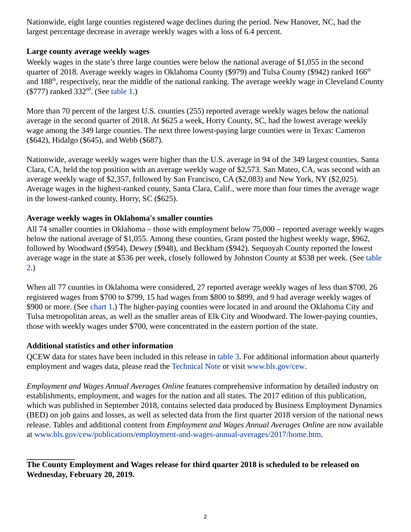Nationwide, eight large counties registered wage declines during the period. New Hanover, NC, had the largest percentage decrease in average weekly wages with a loss of 6.4 percent.

## **Large county average weekly wages**

Weekly wages in the state's three large counties were below the national average of \$1,055 in the second quarter of 2018. Average weekly wages in Oklahoma County (\$979) and Tulsa County (\$942) ranked 166<sup>th</sup> and 188<sup>th</sup>, respectively, near the middle of the national ranking. The average weekly wage in Cleveland County  $(\$777)$  ranked  $332<sup>nd</sup>$ . (See [table 1.](#page-3-0))

More than 70 percent of the largest U.S. counties (255) reported average weekly wages below the national average in the second quarter of 2018. At \$625 a week, Horry County, SC, had the lowest average weekly wage among the 349 large counties. The next three lowest-paying large counties were in Texas: Cameron (\$642), Hidalgo (\$645), and Webb (\$687).

Nationwide, average weekly wages were higher than the U.S. average in 94 of the 349 largest counties. Santa Clara, CA, held the top position with an average weekly wage of \$2,573. San Mateo, CA, was second with an average weekly wage of \$2,357, followed by San Francisco, CA (\$2,083) and New York, NY (\$2,025). Average wages in the highest-ranked county, Santa Clara, Calif., were more than four times the average wage in the lowest-ranked county, Horry, SC (\$625).

## **Average weekly wages in Oklahoma's smaller counties**

All 74 smaller counties in Oklahoma – those with employment below 75,000 – reported average weekly wages below the national average of \$1,055. Among these counties, Grant posted the highest weekly wage, \$962, followed by Woodward (\$954), Dewey (\$948), and Beckham (\$942). Sequoyah County reported the lowest average wage in the state at \$536 per week, closely followed by Johnston County at \$538 per week. (See [table](#page-4-0)  [2.](#page-4-0))

When all 77 counties in Oklahoma were considered, 27 reported average weekly wages of less than \$700, 26 registered wages from \$700 to \$799, 15 had wages from \$800 to \$899, and 9 had average weekly wages of \$900 or more. (See chart 1.) The higher-paying counties were located in and around the Oklahoma City and Tulsa metropolitan areas, as well as the smaller areas of Elk City and Woodward. The lower-paying counties, those with weekly wages under \$700, were concentrated in the eastern portion of the state.

## **Additional statistics and other information**

QCEW data for states have been included in this release in [table 3](#page-6-0). For additional information about quarterly employment and wages data, please read the [Technical Note](#page-2-0) or visit [www.bls.gov/cew](https://www.bls.gov/cew).

*Employment and Wages Annual Averages Online* features comprehensive information by detailed industry on establishments, employment, and wages for the nation and all states. The 2017 edition of this publication, which was published in September 2018, contains selected data produced by Business Employment Dynamics (BED) on job gains and losses, as well as selected data from the first quarter 2018 version of the national news release. Tables and additional content from *Employment and Wages Annual Averages Online* are now available at [www.bls.gov/cew/publications/employment-and-wages-annual-averages/2017/home.htm](https://www.bls.gov/cew/publications/employment-and-wages-annual-averages/2017/home.htm).

**The County Employment and Wages release for third quarter 2018 is scheduled to be released on Wednesday, February 20, 2019.**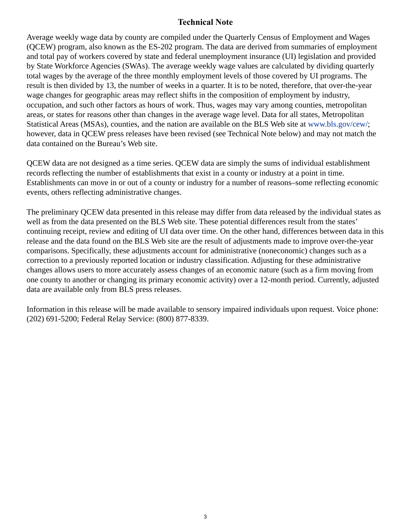## **Technical Note**

<span id="page-2-0"></span>Average weekly wage data by county are compiled under the Quarterly Census of Employment and Wages (QCEW) program, also known as the ES-202 program. The data are derived from summaries of employment and total pay of workers covered by state and federal unemployment insurance (UI) legislation and provided by State Workforce Agencies (SWAs). The average weekly wage values are calculated by dividing quarterly total wages by the average of the three monthly employment levels of those covered by UI programs. The result is then divided by 13, the number of weeks in a quarter. It is to be noted, therefore, that over-the-year wage changes for geographic areas may reflect shifts in the composition of employment by industry, occupation, and such other factors as hours of work. Thus, wages may vary among counties, metropolitan areas, or states for reasons other than changes in the average wage level. Data for all states, Metropolitan Statistical Areas (MSAs), counties, and the nation are available on the BLS Web site at [www.bls.gov/cew/](https://www.bls.gov/cew/); however, data in QCEW press releases have been revised (see Technical Note below) and may not match the data contained on the Bureau's Web site.

QCEW data are not designed as a time series. QCEW data are simply the sums of individual establishment records reflecting the number of establishments that exist in a county or industry at a point in time. Establishments can move in or out of a county or industry for a number of reasons–some reflecting economic events, others reflecting administrative changes.

The preliminary QCEW data presented in this release may differ from data released by the individual states as well as from the data presented on the BLS Web site. These potential differences result from the states' continuing receipt, review and editing of UI data over time. On the other hand, differences between data in this release and the data found on the BLS Web site are the result of adjustments made to improve over-the-year comparisons. Specifically, these adjustments account for administrative (noneconomic) changes such as a correction to a previously reported location or industry classification. Adjusting for these administrative changes allows users to more accurately assess changes of an economic nature (such as a firm moving from one county to another or changing its primary economic activity) over a 12-month period. Currently, adjusted data are available only from BLS press releases.

Information in this release will be made available to sensory impaired individuals upon request. Voice phone: (202) 691-5200; Federal Relay Service: (800) 877-8339.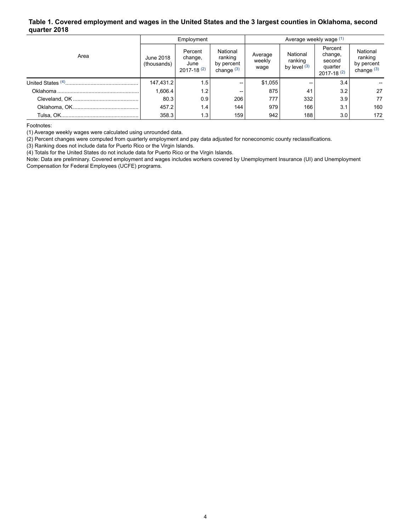#### <span id="page-3-0"></span>**Table 1. Covered employment and wages in the United States and the 3 largest counties in Oklahoma, second quarter 2018**

|      | Employment               |                                              |                                                   | Average weekly wage (1)   |                                       |                                                              |                                                   |  |
|------|--------------------------|----------------------------------------------|---------------------------------------------------|---------------------------|---------------------------------------|--------------------------------------------------------------|---------------------------------------------------|--|
| Area | June 2018<br>(thousands) | Percent<br>change,<br>June<br>$2017 - 18(2)$ | National<br>ranking<br>by percent<br>change $(3)$ | Average<br>weekly<br>wage | National<br>ranking<br>by level $(3)$ | Percent<br>change,<br>second<br>quarter<br>$2017 - 18^{(2)}$ | National<br>ranking<br>by percent<br>change $(3)$ |  |
|      | 147,431.2                | 1.5                                          | --                                                | \$1,055                   |                                       | 3.4                                                          |                                                   |  |
|      | 1.606.4                  | 1.2                                          | --                                                | 875                       | 41                                    | 3.2                                                          | 27                                                |  |
|      | 80.3                     | 0.9                                          | 206                                               | 777                       | 332                                   | 3.9                                                          | 77                                                |  |
|      | 457.2                    | 1.4                                          | 144                                               | 979                       | 166                                   | 3.1                                                          | 160                                               |  |
|      | 358.3                    | 1.3                                          | 159                                               | 942                       | 188                                   | 3.0                                                          | 172                                               |  |

<span id="page-3-1"></span>Footnotes:

(1) Average weekly wages were calculated using unrounded data.

(2) Percent changes were computed from quarterly employment and pay data adjusted for noneconomic county reclassifications.

(3) Ranking does not include data for Puerto Rico or the Virgin Islands.

(4) Totals for the United States do not include data for Puerto Rico or the Virgin Islands.

Note: Data are preliminary. Covered employment and wages includes workers covered by Unemployment Insurance (UI) and Unemployment Compensation for Federal Employees (UCFE) programs.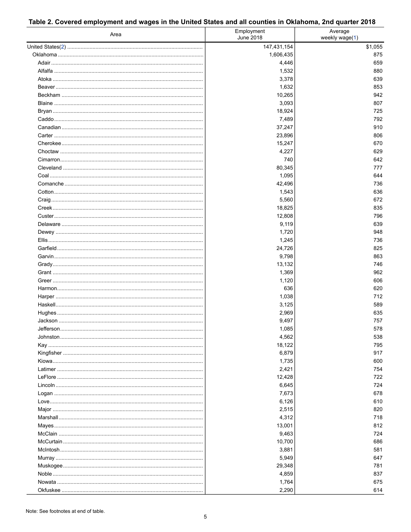<span id="page-4-0"></span>

| Table 2. Covered employment and wages in the United States and all counties in Oklahoma, 2nd quarter 2018 |
|-----------------------------------------------------------------------------------------------------------|
|-----------------------------------------------------------------------------------------------------------|

| Area                                   | Employment<br>June 2018 | Average<br>weekly wage(1) |  |
|----------------------------------------|-------------------------|---------------------------|--|
|                                        | 147,431,154             | \$1,055                   |  |
|                                        | 1,606,435               | 875                       |  |
|                                        | 4,446                   | 659                       |  |
|                                        | 1,532                   | 880                       |  |
|                                        | 3,378                   | 639                       |  |
|                                        | 1,632                   | 853                       |  |
|                                        | 10,265                  | 942                       |  |
|                                        | 3,093                   | 807                       |  |
|                                        | 18,924                  | 725                       |  |
|                                        | 7,489                   | 792                       |  |
|                                        | 37,247                  | 910                       |  |
|                                        | 23,896                  | 806                       |  |
|                                        | 15,247                  | 670                       |  |
|                                        | 4,227                   | 629                       |  |
|                                        | 740                     | 642                       |  |
|                                        | 80,345                  | 777                       |  |
|                                        | 1,095                   | 644                       |  |
|                                        | 42,496                  | 736                       |  |
|                                        | 1,543                   | 636                       |  |
|                                        | 5,560                   | 672                       |  |
|                                        | 18,825                  | 835                       |  |
|                                        | 12,808                  | 796                       |  |
|                                        | 9,119                   | 639                       |  |
|                                        | 1,720                   | 948                       |  |
|                                        | 1,245                   | 736                       |  |
|                                        | 24,726                  | 825                       |  |
|                                        | 9,798                   | 863                       |  |
|                                        | 13,132                  | 746                       |  |
|                                        | 1,369                   | 962                       |  |
|                                        | 1,120                   | 606                       |  |
|                                        | 636                     | 620                       |  |
|                                        | 1,038                   | 712                       |  |
|                                        | 3,125                   | 589                       |  |
|                                        | 2,969                   | 635                       |  |
|                                        | 9,497                   | 757                       |  |
|                                        | 1,085                   | 578                       |  |
|                                        | 4,562                   | 538                       |  |
| Kay ………………………………………………………………………………………… | 18,122                  | 795                       |  |
|                                        | 6,879                   | 917                       |  |
|                                        | 1,735                   | 600                       |  |
|                                        | 2,421                   | 754                       |  |
|                                        | 12,428                  | 722                       |  |
|                                        | 6,645                   | 724                       |  |
|                                        | 7,673                   | 678                       |  |
|                                        | 6,126                   | 610                       |  |
|                                        | 2,515                   | 820                       |  |
|                                        | 4,312                   | 718                       |  |
|                                        | 13,001                  | 812                       |  |
|                                        | 9,463                   | 724                       |  |
|                                        | 10,700                  | 686                       |  |
|                                        | 3,881                   | 581                       |  |
|                                        | 5,949                   | 647                       |  |
|                                        | 29,348                  | 781                       |  |
|                                        | 4,859                   | 837                       |  |
|                                        | 1,764                   | 675                       |  |
|                                        | 2,290                   | 614                       |  |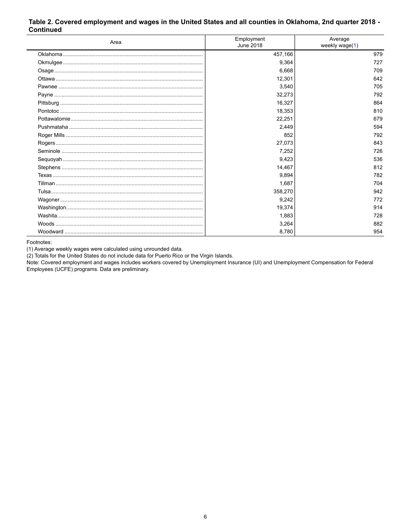#### Table 2. Covered employment and wages in the United States and all counties in Oklahoma, 2nd quarter 2018 -**Continued**

| Area | Employment<br>June 2018 | Average<br>weekly wage(1) |
|------|-------------------------|---------------------------|
|      | 457,166                 | 979                       |
|      | 9,364                   | 727                       |
|      | 6,668                   | 709                       |
|      | 12,301                  | 642                       |
|      | 3,540                   | 705                       |
|      | 32,273                  | 792                       |
|      | 16,327                  | 864                       |
|      | 18,353                  | 810                       |
|      | 22,251                  | 679                       |
|      | 2,449                   | 594                       |
|      | 852                     | 792                       |
|      | 27,073                  | 843                       |
|      | 7,252                   | 726                       |
|      | 9,423                   | 536                       |
|      | 14,467                  | 812                       |
|      | 9,894                   | 782                       |
|      | 1,687                   | 704                       |
|      | 358,270                 | 942                       |
|      | 9,242                   | 772                       |
|      | 19,374                  | 914                       |
|      | 1,883                   | 728                       |
|      | 3,264                   | 882                       |
|      | 8,780                   | 954                       |

<span id="page-5-0"></span>Footnotes:

(1) Average weekly wages were calculated using unrounded data.

(2) Totals for the United States do not include data for Puerto Rico or the Virgin Islands.

Note: Covered employment and wages includes workers covered by Unemployment Insurance (UI) and Unemployment Compensation for Federal Employees (UCFE) programs. Data are preliminary.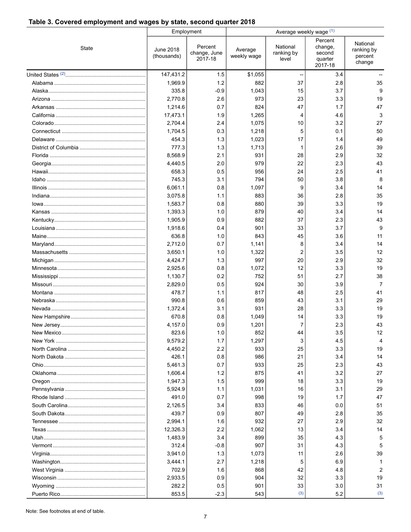## <span id="page-6-0"></span>**Table 3. Covered employment and wages by state, second quarter 2018**

|              |                          | Employment                         | Average weekly wage (1) |                                 |                                                    |                                             |  |
|--------------|--------------------------|------------------------------------|-------------------------|---------------------------------|----------------------------------------------------|---------------------------------------------|--|
| <b>State</b> | June 2018<br>(thousands) | Percent<br>change, June<br>2017-18 | Average<br>weekly wage  | National<br>ranking by<br>level | Percent<br>change,<br>second<br>quarter<br>2017-18 | National<br>ranking by<br>percent<br>change |  |
|              | 147,431.2                | 1.5                                | \$1,055                 |                                 | 3.4                                                |                                             |  |
|              | 1,969.9                  | 1.2                                | 882                     | 37                              | 2.8                                                | 35                                          |  |
|              | 335.8                    | $-0.9$                             | 1,043                   | 15                              | 3.7                                                | 9                                           |  |
|              | 2,770.8                  | 2.6                                | 973                     | 23                              | 3.3                                                | 19                                          |  |
|              | 1,214.6                  | 0.7                                | 824                     | 47                              | 1.7                                                | 47                                          |  |
|              | 17,473.1                 | 1.9                                | 1,265                   | 4                               | 4.6                                                | 3                                           |  |
|              | 2.704.4                  | 2.4                                | 1,075                   | 10                              | 3.2                                                | 27                                          |  |
|              | 1,704.5                  | 0.3                                | 1,218                   | 5                               | 0.1                                                | 50                                          |  |
|              | 454.3                    | 1.3                                | 1,023                   | 17                              | 1.4                                                | 49                                          |  |
|              | 777.3                    | 1.3                                | 1,713                   | -1                              | 2.6                                                | 39                                          |  |
|              | 8,568.9                  | 2.1                                | 931                     | 28                              | 2.9                                                | 32                                          |  |
|              | 4,440.5                  | 2.0                                | 979                     | 22                              | 2.3                                                | 43                                          |  |
|              | 658.3                    | 0.5                                | 956                     | 24                              | 2.5                                                | 41                                          |  |
|              | 745.3                    | 3.1                                | 794                     | 50                              | 3.8                                                | 8                                           |  |
|              | 6,061.1                  | 0.8                                | 1,097                   | 9                               | 3.4                                                | 14                                          |  |
|              | 3,075.8                  | 1.1                                | 883                     | 36                              | 2.8                                                | 35                                          |  |
|              | 1,583.7                  | 0.8                                | 880                     | 39                              | 3.3                                                | 19                                          |  |
|              | 1,393.3                  | 1.0                                | 879                     | 40                              | 3.4                                                | 14                                          |  |
|              | 1,905.9                  | 0.9                                | 882                     | 37                              | 2.3                                                | 43                                          |  |
|              | 1,918.6                  | 0.4                                | 901                     | 33                              | 3.7                                                | 9                                           |  |
|              | 636.8                    | 1.0                                | 843                     | 45                              | 3.6                                                | 11                                          |  |
|              | 2,712.0                  | 0.7                                | 1,141                   | 8                               | 3.4                                                | 14                                          |  |
|              | 3,650.1                  | 1.0                                | 1,322                   | 2                               | 3.5                                                | 12                                          |  |
|              | 4,424.7                  | 1.3                                | 997                     | 20                              | 2.9                                                | 32                                          |  |
|              | 2,925.6                  | 0.8                                | 1,072                   | 12                              | 3.3                                                | 19                                          |  |
|              | 1,130.7                  | 0.2                                | 752                     | 51                              | 2.7                                                | 38                                          |  |
|              | 2,829.0                  | 0.5                                | 924                     | 30                              | 3.9                                                | $\overline{7}$                              |  |
|              | 478.7                    | 1.1                                | 817                     | 48                              | 2.5                                                | 41                                          |  |
|              | 990.8                    | 0.6                                | 859                     | 43                              | 3.1                                                | 29                                          |  |
|              | 1,372.4                  | 3.1                                | 931                     | 28                              | 3.3                                                | 19                                          |  |
|              | 670.8                    | 0.8                                | 1,049                   | 14                              | 3.3                                                | 19                                          |  |
|              | 4,157.0                  | 0.9                                | 1,201                   | 7                               | 2.3                                                | 43                                          |  |
|              | 823.6                    | 1.0                                | 852                     | 44                              | 3.5                                                | 12                                          |  |
|              | 9,579.2                  | 1.7                                | 1,297                   | 3                               | 4.5                                                | Δ                                           |  |
|              | 4,450.2                  | 2.2                                | 933                     | 25                              | 3.3                                                | 19                                          |  |
|              | 426.1                    | 0.8                                | 986                     | 21                              | 3.4                                                | 14                                          |  |
|              | 5,461.3                  | 0.7                                | 933                     | 25                              | 2.3                                                | 43                                          |  |
|              | 1,606.4                  | 1.2                                | 875                     | 41                              | 3.2                                                | 27                                          |  |
|              | 1,947.3                  | 1.5                                | 999                     | 18                              | 3.3                                                | 19                                          |  |
|              | 5,924.9                  | 1.1                                | 1,031                   | 16                              | 3.1                                                | 29                                          |  |
|              | 491.0                    | 0.7                                | 998                     | 19                              | 1.7                                                | 47                                          |  |
|              | 2,126.5                  | 3.4                                | 833                     | 46                              | 0.0                                                | 51                                          |  |
|              | 439.7                    | 0.9                                | 807                     | 49                              | 2.8                                                | 35                                          |  |
|              | 2,994.1                  | 1.6                                | 932                     | 27                              | 2.9                                                | 32                                          |  |
|              | 12,326.3                 | 2.2                                | 1,062                   | 13                              | 3.4                                                | 14                                          |  |
|              | 1,483.9                  | 3.4                                | 899                     | 35                              | 4.3                                                | 5                                           |  |
|              | 312.4                    | $-0.8$                             | 907                     | 31                              | 4.3                                                | 5                                           |  |
|              | 3,941.0                  | 1.3                                | 1,073                   | 11                              | 2.6                                                | 39                                          |  |
|              | 3,444.1                  | 2.7                                | 1,218                   | 5                               | 6.9                                                | -1                                          |  |
|              | 702.9                    | 1.6                                | 868                     | 42                              | 4.8                                                | 2                                           |  |
|              | 2,933.5                  | 0.9                                | 904                     | 32                              | 3.3                                                | 19                                          |  |
|              | 282.2                    | 0.5                                | 901                     | 33                              | 3.0                                                | 31                                          |  |
|              | 853.5                    | $-2.3$                             | 543                     | (3)                             | 5.2                                                | (3)                                         |  |